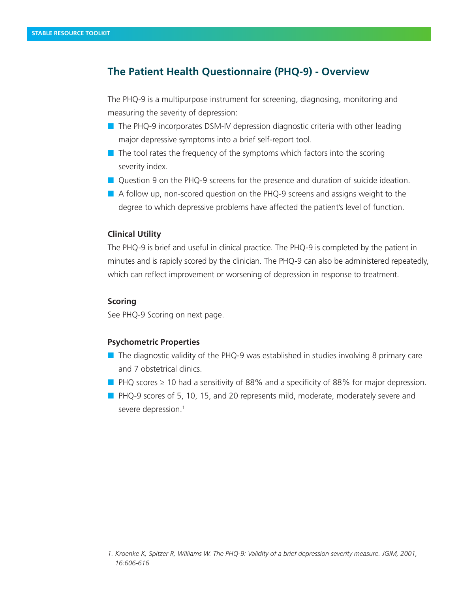# **The Patient Health Questionnaire (PHQ-9) - Overview**

The PHQ-9 is a multipurpose instrument for screening, diagnosing, monitoring and measuring the severity of depression:

- $\blacksquare$  The PHQ-9 incorporates DSM-IV depression diagnostic criteria with other leading major depressive symptoms into a brief self-report tool.
- $\blacksquare$  The tool rates the frequency of the symptoms which factors into the scoring severity index.
- $\blacksquare$  Question 9 on the PHQ-9 screens for the presence and duration of suicide ideation.
- $\blacksquare$  A follow up, non-scored question on the PHQ-9 screens and assigns weight to the degree to which depressive problems have affected the patient's level of function.

## **Clinical Utility**

The PHQ-9 is brief and useful in clinical practice. The PHQ-9 is completed by the patient in minutes and is rapidly scored by the clinician. The PHQ-9 can also be administered repeatedly, which can reflect improvement or worsening of depression in response to treatment.

## **Scoring**

See PHQ-9 Scoring on next page.

## **Psychometric Properties**

- $\blacksquare$  The diagnostic validity of the PHQ-9 was established in studies involving 8 primary care and 7 obstetrical clinics.
- **n** PHQ scores  $\geq$  10 had a sensitivity of 88% and a specificity of 88% for major depression.
- $\blacksquare$  PHQ-9 scores of 5, 10, 15, and 20 represents mild, moderate, moderately severe and severe depression.<sup>1</sup>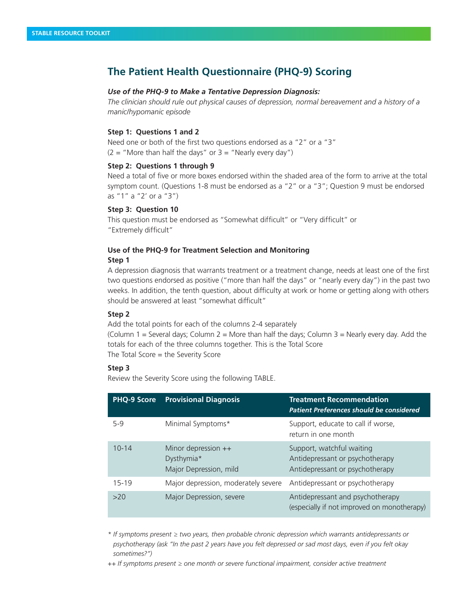# **The Patient Health Questionnaire (PHQ-9) Scoring**

### *Use of the PHQ-9 to Make a Tentative Depression Diagnosis:*

*The clinician should rule out physical causes of depression, normal bereavement and a history of a manic/hypomanic episode*

#### **Step 1: Questions 1 and 2**

Need one or both of the first two questions endorsed as a "2" or a "3"  $(2 = "More than half the days" or 3 = "Nearly every day")$ 

#### **Step 2: Questions 1 through 9**

Need a total of five or more boxes endorsed within the shaded area of the form to arrive at the total symptom count. (Questions 1-8 must be endorsed as a "2" or a "3"; Question 9 must be endorsed as "1" a "2' or a "3")

### **Step 3: Question 10**

This question must be endorsed as "Somewhat difficult" or "Very difficult" or "Extremely difficult"

# **Use of the PHQ-9 for Treatment Selection and Monitoring**

## **Step 1**

A depression diagnosis that warrants treatment or a treatment change, needs at least one of the first two questions endorsed as positive ("more than half the days" or "nearly every day") in the past two weeks. In addition, the tenth question, about difficulty at work or home or getting along with others should be answered at least "somewhat difficult"

### **Step 2**

Add the total points for each of the columns 2-4 separately

(Column 1 = Several days; Column 2 = More than half the days; Column 3 = Nearly every day. Add the totals for each of the three columns together. This is the Total Score

The Total Score = the Severity Score

### **Step 3**

Review the Severity Score using the following TABLE.

| <b>PHQ-9 Score</b> | <b>Provisional Diagnosis</b>                                | <b>Treatment Recommendation</b><br><b>Patient Preferences should be considered</b>              |
|--------------------|-------------------------------------------------------------|-------------------------------------------------------------------------------------------------|
| $5-9$              | Minimal Symptoms*                                           | Support, educate to call if worse,<br>return in one month                                       |
| $10 - 14$          | Minor depression ++<br>Dysthymia*<br>Major Depression, mild | Support, watchful waiting<br>Antidepressant or psychotherapy<br>Antidepressant or psychotherapy |
| 15-19              | Major depression, moderately severe                         | Antidepressant or psychotherapy                                                                 |
| >20                | Major Depression, severe                                    | Antidepressant and psychotherapy<br>(especially if not improved on monotherapy)                 |

*\* If symptoms present ≥ two years, then probable chronic depression which warrants antidepressants or psychotherapy (ask "In the past 2 years have you felt depressed or sad most days, even if you felt okay sometimes?")*

*++ If symptoms present ≥ one month or severe functional impairment, consider active treatment*